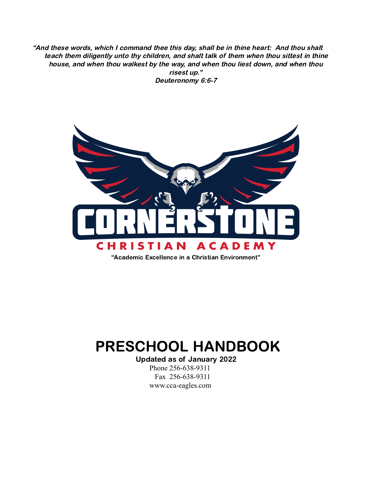"And these words, which I command thee this day, shall be in thine heart: And thou shalt teach them diligently unto thy children, and shalt talk of them when thou sittest in thine house, and when thou walkest by the way, and when thou liest down, and when thou risest up." Deuteronomy 6:6-7



"Academic Excellence in a Christian Environment"

# PRESCHOOL HANDBOOK

Updated as of January 2022 Phone 256-638-9311 Fax 256-638-9311 www.cca-eagles.com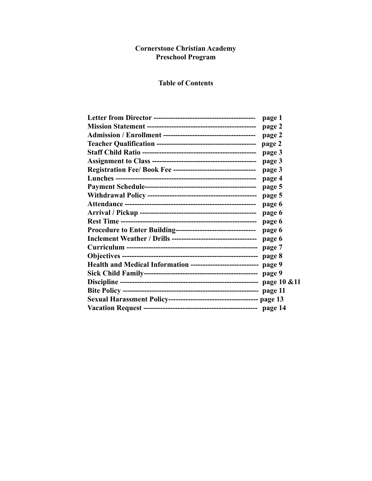#### **Cornerstone Christian Academy Preschool Program**

## **Table of Contents**

|                                                                    | page 1 |
|--------------------------------------------------------------------|--------|
|                                                                    | page 2 |
|                                                                    | page 2 |
|                                                                    | page 2 |
|                                                                    | page 3 |
|                                                                    | page 3 |
|                                                                    | page 3 |
|                                                                    | page 4 |
|                                                                    | page 5 |
|                                                                    | page 5 |
|                                                                    | page 6 |
|                                                                    | page 6 |
|                                                                    | page 6 |
| Procedure to Enter Building---------------------------------       | page 6 |
|                                                                    | page 6 |
|                                                                    | page 7 |
|                                                                    | page 8 |
| Health and Medical Information ---------------------------- page 9 |        |
|                                                                    | page 9 |
|                                                                    |        |
|                                                                    |        |
|                                                                    |        |
|                                                                    |        |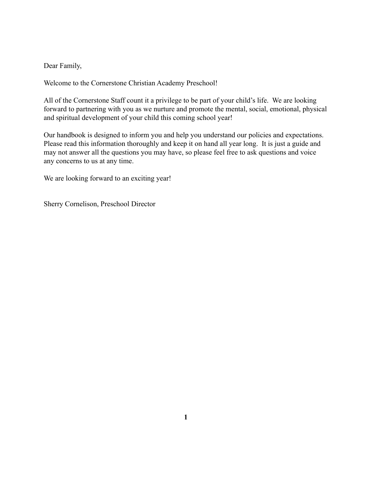Dear Family,

Welcome to the Cornerstone Christian Academy Preschool!

All of the Cornerstone Staff count it a privilege to be part of your child's life. We are looking forward to partnering with you as we nurture and promote the mental, social, emotional, physical and spiritual development of your child this coming school year!

Our handbook is designed to inform you and help you understand our policies and expectations. Please read this information thoroughly and keep it on hand all year long. It is just a guide and may not answer all the questions you may have, so please feel free to ask questions and voice any concerns to us at any time.

We are looking forward to an exciting year!

Sherry Cornelison, Preschool Director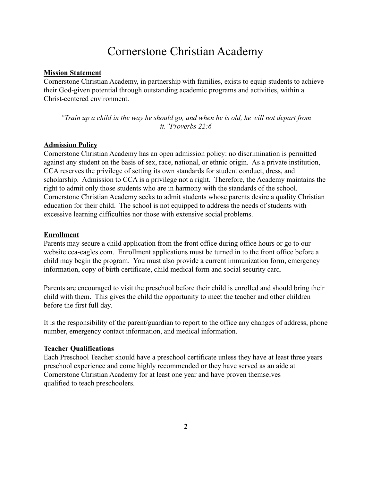## Cornerstone Christian Academy

#### **Mission Statement**

Cornerstone Christian Academy, in partnership with families, exists to equip students to achieve their God-given potential through outstanding academic programs and activities, within a Christ-centered environment.

*"Train up a child in the way he should go, and when he is old, he will not depart from it."Proverbs 22:6*

#### **Admission Policy**

Cornerstone Christian Academy has an open admission policy: no discrimination is permitted against any student on the basis of sex, race, national, or ethnic origin. As a private institution, CCA reserves the privilege of setting its own standards for student conduct, dress, and scholarship. Admission to CCA is a privilege not a right. Therefore, the Academy maintains the right to admit only those students who are in harmony with the standards of the school. Cornerstone Christian Academy seeks to admit students whose parents desire a quality Christian education for their child. The school is not equipped to address the needs of students with excessive learning difficulties nor those with extensive social problems.

#### **Enrollment**

Parents may secure a child application from the front office during office hours or go to our website cca-eagles.com. Enrollment applications must be turned in to the front office before a child may begin the program. You must also provide a current immunization form, emergency information, copy of birth certificate, child medical form and social security card.

Parents are encouraged to visit the preschool before their child is enrolled and should bring their child with them. This gives the child the opportunity to meet the teacher and other children before the first full day.

It is the responsibility of the parent/guardian to report to the office any changes of address, phone number, emergency contact information, and medical information.

#### **Teacher Qualifications**

Each Preschool Teacher should have a preschool certificate unless they have at least three years preschool experience and come highly recommended or they have served as an aide at Cornerstone Christian Academy for at least one year and have proven themselves qualified to teach preschoolers.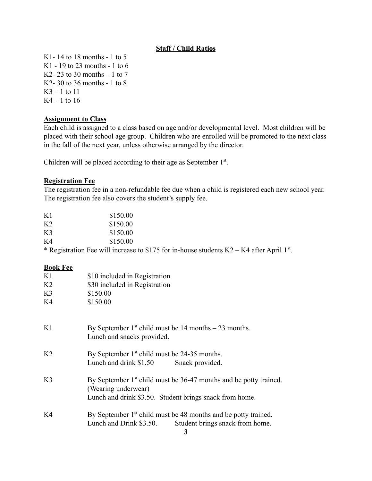## **Staff / Child Ratios**

K1- 14 to 18 months - 1 to 5 K1 - 19 to 23 months - 1 to 6 K2- 23 to 30 months  $-1$  to 7 K2- 30 to 36 months - 1 to 8  $K3 - 1$  to 11  $K4 - 1$  to 16

#### **Assignment to Class**

Each child is assigned to a class based on age and/or developmental level. Most children will be placed with their school age group. Children who are enrolled will be promoted to the next class in the fall of the next year, unless otherwise arranged by the director.

Children will be placed according to their age as September  $1<sup>st</sup>$ .

#### **Registration Fee**

The registration fee in a non-refundable fee due when a child is registered each new school year. The registration fee also covers the student's supply fee.

| K1             | \$150.00 |
|----------------|----------|
| K <sub>2</sub> | \$150.00 |
| K <sub>3</sub> | \$150.00 |
| K4             | \$150.00 |

\* Registration Fee will increase to \$175 for in-house students  $K2 - K4$  after April 1<sup>st</sup>.

#### **Book Fee**

| K1             | \$10 included in Registration                                                                                                                         |
|----------------|-------------------------------------------------------------------------------------------------------------------------------------------------------|
| K <sub>2</sub> | \$30 included in Registration                                                                                                                         |
| K <sub>3</sub> | \$150.00                                                                                                                                              |
| K4             | \$150.00                                                                                                                                              |
| K1             | By September $1st$ child must be 14 months – 23 months.<br>Lunch and snacks provided.                                                                 |
| K <sub>2</sub> | By September 1 <sup>st</sup> child must be 24-35 months.<br>Lunch and drink \$1.50<br>Snack provided.                                                 |
| K <sub>3</sub> | By September $1st$ child must be 36-47 months and be potty trained.<br>(Wearing underwear)<br>Lunch and drink \$3.50. Student brings snack from home. |
| K4             | By September $1st$ child must be 48 months and be potty trained.<br>Lunch and Drink \$3.50.<br>Student brings snack from home.                        |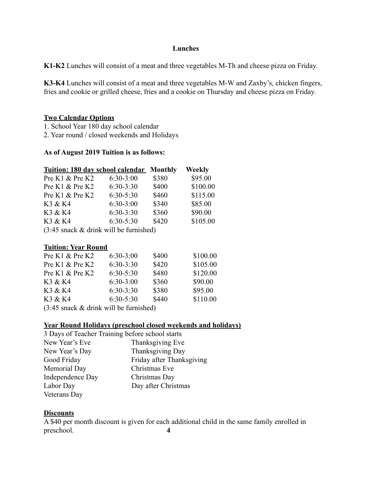#### **Lunches**

**K1-K2** Lunches will consist of a meat and three vegetables M-Th and cheese pizza on Friday.

**K3-K4** Lunches will consist of a meat and three vegetables M-W and Zaxby's, chicken fingers, fries and cookie or grilled cheese, fries and a cookie on Thursday and cheese pizza on Friday.

#### **Two Calendar Options**

1. School Year 180 day school calendar

2. Year round / closed weekends and Holidays

## **As of August 2019 Tuition is as follows:**

| <b>Tuition: 180 day school calendar Monthly</b>   |             |       | <b>Weekly</b> |
|---------------------------------------------------|-------------|-------|---------------|
| Pre K1 & Pre K2                                   | $6:30-3:00$ | \$380 | \$95.00       |
| Pre K1 & Pre K2                                   | $6:30-3:30$ | \$400 | \$100.00      |
| Pre K1 & Pre K2                                   | $6:30-5:30$ | \$460 | \$115.00      |
| K3 & K4                                           | $6:30-3:00$ | \$340 | \$85.00       |
| K3 & K4                                           | $6:30-3:30$ | \$360 | \$90.00       |
| K3 & K4                                           | $6:30-5:30$ | \$420 | \$105.00      |
| $(2.45$ angels <i>k</i> driple will be furnighed) |             |       |               |

 $(3:45 \text{ snack } \& \text{ drink will be furnished})$ 

#### **Tuition: Year Round**

| Pre K1 & Pre K2                                           | $6:30-3:00$ | \$400 | \$100.00 |
|-----------------------------------------------------------|-------------|-------|----------|
| Pre K1 & Pre K2                                           | $6:30-3:30$ | \$420 | \$105.00 |
| Pre K1 & Pre K2                                           | $6:30-5:30$ | \$480 | \$120.00 |
| K3 & K4                                                   | $6:30-3:00$ | \$360 | \$90.00  |
| K3 & K4                                                   | $6:30-3:30$ | \$380 | \$95.00  |
| K3 & K4                                                   | $6:30-5:30$ | \$440 | \$110.00 |
| $(3.45 \text{ snack } k \text{ drink will be firmishad})$ |             |       |          |

 $(3:45 \text{ snack } \& \text{ drink will be furnished})$ 

## **Year Round Holidays (preschool closed weekends and holidays)**

| 3 Days of Teacher Training before school starts |                           |
|-------------------------------------------------|---------------------------|
| New Year's Eve                                  | Thanksgiving Eve          |
| New Year's Day                                  | Thanksgiving Day          |
| Good Friday                                     | Friday after Thanksgiving |
| Memorial Day                                    | Christmas Eve             |
| Independence Day                                | Christmas Day             |
| Labor Day                                       | Day after Christmas       |
| Veterans Day                                    |                           |

#### **Discounts**

A \$40 per month discount is given for each additional child in the same family enrolled in preschool. **4**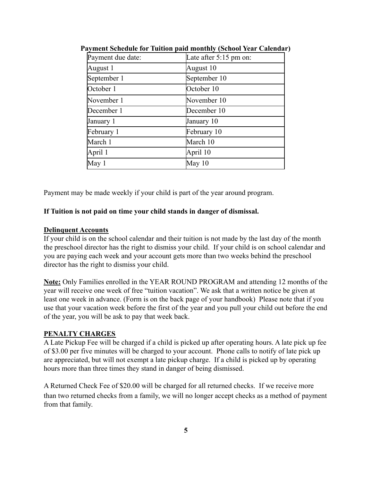| Payment due date: | Late after $5:15$ pm on: |
|-------------------|--------------------------|
| August 1          | August 10                |
| September 1       | September 10             |
| October 1         | October 10               |
| November 1        | November 10              |
| December 1        | December 10              |
| January 1         | January 10               |
| February 1        | February 10              |
| March 1           | March 10                 |
| April 1           | April 10                 |
| May 1             | May 10                   |

**Payment Schedule for Tuition paid monthly (School Year Calendar)**

Payment may be made weekly if your child is part of the year around program.

#### **If Tuition is not paid on time your child stands in danger of dismissal.**

#### **Delinquent Accounts**

If your child is on the school calendar and their tuition is not made by the last day of the month the preschool director has the right to dismiss your child. If your child is on school calendar and you are paying each week and your account gets more than two weeks behind the preschool director has the right to dismiss your child.

**Note:** Only Families enrolled in the YEAR ROUND PROGRAM and attending 12 months of the year will receive one week of free "tuition vacation". We ask that a written notice be given at least one week in advance. (Form is on the back page of your handbook) Please note that if you use that your vacation week before the first of the year and you pull your child out before the end of the year, you will be ask to pay that week back.

#### **PENALTY CHARGES**

A Late Pickup Fee will be charged if a child is picked up after operating hours. A late pick up fee of \$3.00 per five minutes will be charged to your account. Phone calls to notify of late pick up are appreciated, but will not exempt a late pickup charge. If a child is picked up by operating hours more than three times they stand in danger of being dismissed.

A Returned Check Fee of \$20.00 will be charged for all returned checks. If we receive more than two returned checks from a family, we will no longer accept checks as a method of payment from that family.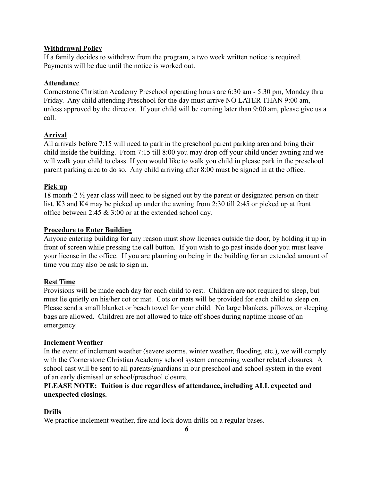## **Withdrawal Policy**

If a family decides to withdraw from the program, a two week written notice is required. Payments will be due until the notice is worked out.

## **Attendanc**e

Cornerstone Christian Academy Preschool operating hours are 6:30 am - 5:30 pm, Monday thru Friday. Any child attending Preschool for the day must arrive NO LATER THAN 9:00 am, unless approved by the director. If your child will be coming later than 9:00 am, please give us a call.

## **Arrival**

All arrivals before 7:15 will need to park in the preschool parent parking area and bring their child inside the building. From 7:15 till 8:00 you may drop off your child under awning and we will walk your child to class. If you would like to walk you child in please park in the preschool parent parking area to do so. Any child arriving after 8:00 must be signed in at the office.

## **Pick up**

18 month-2 ½ year class will need to be signed out by the parent or designated person on their list. K3 and K4 may be picked up under the awning from 2:30 till 2:45 or picked up at front office between 2:45 & 3:00 or at the extended school day.

## **Procedure to Enter Building**

Anyone entering building for any reason must show licenses outside the door, by holding it up in front of screen while pressing the call button. If you wish to go past inside door you must leave your license in the office. If you are planning on being in the building for an extended amount of time you may also be ask to sign in.

#### **Rest Time**

Provisions will be made each day for each child to rest. Children are not required to sleep, but must lie quietly on his/her cot or mat. Cots or mats will be provided for each child to sleep on. Please send a small blanket or beach towel for your child. No large blankets, pillows, or sleeping bags are allowed. Children are not allowed to take off shoes during naptime incase of an emergency.

#### **Inclement Weather**

In the event of inclement weather (severe storms, winter weather, flooding, etc.), we will comply with the Cornerstone Christian Academy school system concerning weather related closures. A school cast will be sent to all parents/guardians in our preschool and school system in the event of an early dismissal or school/preschool closure.

## **PLEASE NOTE: Tuition is due regardless of attendance, including ALL expected and unexpected closings.**

#### **Drills**

We practice inclement weather, fire and lock down drills on a regular bases.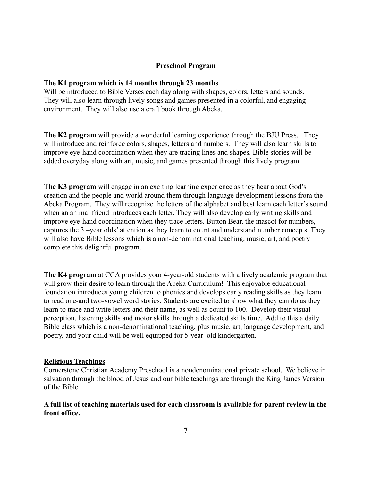#### **Preschool Program**

#### **The K1 program which is 14 months through 23 months**

Will be introduced to Bible Verses each day along with shapes, colors, letters and sounds. They will also learn through lively songs and games presented in a colorful, and engaging environment. They will also use a craft book through Abeka.

**The K2 program** will provide a wonderful learning experience through the BJU Press. They will introduce and reinforce colors, shapes, letters and numbers. They will also learn skills to improve eye-hand coordination when they are tracing lines and shapes. Bible stories will be added everyday along with art, music, and games presented through this lively program.

**The K3 program** will engage in an exciting learning experience as they hear about God's creation and the people and world around them through language development lessons from the Abeka Program. They will recognize the letters of the alphabet and best learn each letter's sound when an animal friend introduces each letter. They will also develop early writing skills and improve eye-hand coordination when they trace letters. Button Bear, the mascot for numbers, captures the 3 –year olds' attention as they learn to count and understand number concepts. They will also have Bible lessons which is a non-denominational teaching, music, art, and poetry complete this delightful program.

**The K4 program** at CCA provides your 4-year-old students with a lively academic program that will grow their desire to learn through the Abeka Curriculum! This enjoyable educational foundation introduces young children to phonics and develops early reading skills as they learn to read one-and two-vowel word stories. Students are excited to show what they can do as they learn to trace and write letters and their name, as well as count to 100. Develop their visual perception, listening skills and motor skills through a dedicated skills time. Add to this a daily Bible class which is a non-denominational teaching, plus music, art, language development, and poetry, and your child will be well equipped for 5-year–old kindergarten.

#### **Religious Teachings**

Cornerstone Christian Academy Preschool is a nondenominational private school. We believe in salvation through the blood of Jesus and our bible teachings are through the King James Version of the Bible.

## **A full list of teaching materials used for each classroom is available for parent review in the front office.**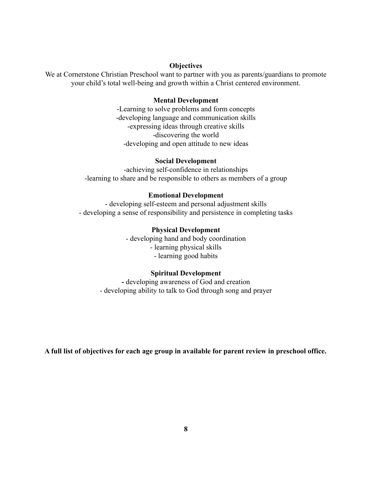#### **Objectives**

We at Cornerstone Christian Preschool want to partner with you as parents/guardians to promote your child's total well-being and growth within a Christ centered environment.

#### **Mental Development**

-Learning to solve problems and form concepts -developing language and communication skills -expressing ideas through creative skills -discovering the world -developing and open attitude to new ideas

#### **Social Development**

-achieving self-confidence in relationships -learning to share and be responsible to others as members of a group

#### **Emotional Development**

- developing self-esteem and personal adjustment skills - developing a sense of responsibility and persistence in completing tasks

#### **Physical Development**

- developing hand and body coordination - learning physical skills - learning good habits

#### **Spiritual Development**

**-** developing awareness of God and creation - developing ability to talk to God through song and prayer

**A full list of objectives for each age group in available for parent review in preschool office.**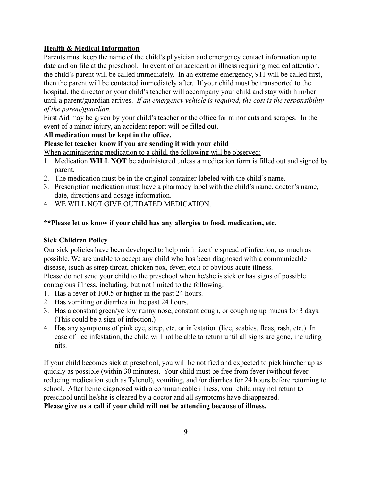## **Health & Medical Information**

Parents must keep the name of the child's physician and emergency contact information up to date and on file at the preschool. In event of an accident or illness requiring medical attention, the child's parent will be called immediately. In an extreme emergency, 911 will be called first, then the parent will be contacted immediately after. If your child must be transported to the hospital, the director or your child's teacher will accompany your child and stay with him/her until a parent/guardian arrives. *If an emergency vehicle is required, the cost is the responsibility of the parent/guardian.*

First Aid may be given by your child's teacher or the office for minor cuts and scrapes. In the event of a minor injury, an accident report will be filled out.

## **All medication must be kept in the office.**

## **Please let teacher know if you are sending it with your child**

When administering medication to a child, the following will be observed:

- 1. Medication **WILL NOT** be administered unless a medication form is filled out and signed by parent.
- 2. The medication must be in the original container labeled with the child's name.
- 3. Prescription medication must have a pharmacy label with the child's name, doctor's name, date, directions and dosage information.
- 4. WE WILL NOT GIVE OUTDATED MEDICATION.

## **\*\*Please let us know if your child has any allergies to food, medication, etc.**

## **Sick Children Policy**

Our sick policies have been developed to help minimize the spread of infection, as much as possible. We are unable to accept any child who has been diagnosed with a communicable disease, (such as strep throat, chicken pox, fever, etc.) or obvious acute illness. Please do not send your child to the preschool when he/she is sick or has signs of possible contagious illness, including, but not limited to the following:

- 1. Has a fever of 100.5 or higher in the past 24 hours.
- 2. Has vomiting or diarrhea in the past 24 hours.
- 3. Has a constant green/yellow runny nose, constant cough, or coughing up mucus for 3 days. (This could be a sign of infection.)
- 4. Has any symptoms of pink eye, strep, etc. or infestation (lice, scabies, fleas, rash, etc.) In case of lice infestation, the child will not be able to return until all signs are gone, including nits.

If your child becomes sick at preschool, you will be notified and expected to pick him/her up as quickly as possible (within 30 minutes). Your child must be free from fever (without fever reducing medication such as Tylenol), vomiting, and /or diarrhea for 24 hours before returning to school. After being diagnosed with a communicable illness, your child may not return to preschool until he/she is cleared by a doctor and all symptoms have disappeared.

**Please give us a call if your child will not be attending because of illness.**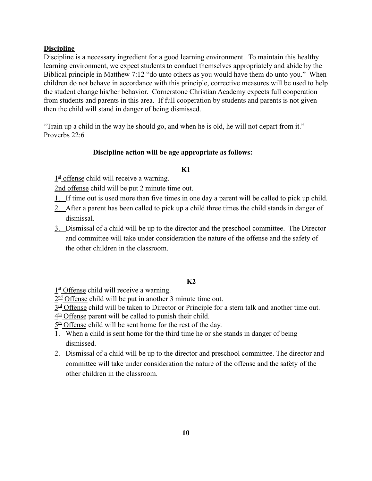## **Discipline**

Discipline is a necessary ingredient for a good learning environment. To maintain this healthy learning environment, we expect students to conduct themselves appropriately and abide by the Biblical principle in Matthew 7:12 "do unto others as you would have them do unto you." When children do not behave in accordance with this principle, corrective measures will be used to help the student change his/her behavior. Cornerstone Christian Academy expects full cooperation from students and parents in this area. If full cooperation by students and parents is not given then the child will stand in danger of being dismissed.

"Train up a child in the way he should go, and when he is old, he will not depart from it." Proverbs 22:6

#### **Discipline action will be age appropriate as follows:**

#### **K1**

1st offense child will receive a warning.

2nd offense child will be put 2 minute time out.

- 1. If time out is used more than five times in one day a parent will be called to pick up child.
- 2. After a parent has been called to pick up a child three times the child stands in danger of dismissal.
- 3. Dismissal of a child will be up to the director and the preschool committee. The Director and committee will take under consideration the nature of the offense and the safety of the other children in the classroom.

#### **K2**

1st Offense child will receive a warning.

 $2<sup>nd</sup>$  Offense child will be put in another 3 minute time out.

 $3<sup>rd</sup>$  Offense child will be taken to Director or Principle for a stern talk and another time out.

 $4<sup>th</sup>$  Offense parent will be called to punish their child.

 $5<sup>th</sup>$  Offense child will be sent home for the rest of the day.

- 1. When a child is sent home for the third time he or she stands in danger of being dismissed.
- 2. Dismissal of a child will be up to the director and preschool committee. The director and committee will take under consideration the nature of the offense and the safety of the other children in the classroom.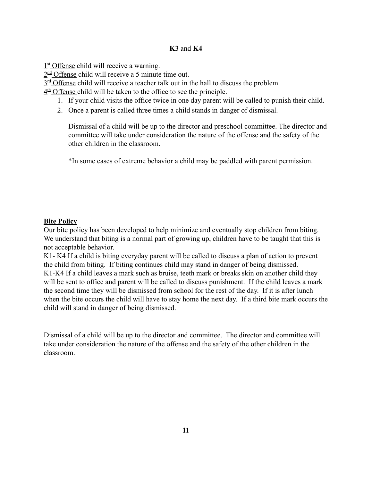## **K3** and **K4**

1<sup>st</sup> Offense child will receive a warning.

2<sup>nd</sup> Offense child will receive a 5 minute time out.

 $3<sup>rd</sup>$  Offense child will receive a teacher talk out in the hall to discuss the problem.

 $4<sup>th</sup>$  Offense child will be taken to the office to see the principle.

- 1. If your child visits the office twice in one day parent will be called to punish their child.
- 2. Once a parent is called three times a child stands in danger of dismissal.

Dismissal of a child will be up to the director and preschool committee. The director and committee will take under consideration the nature of the offense and the safety of the other children in the classroom.

\*In some cases of extreme behavior a child may be paddled with parent permission.

## **Bite Policy**

Our bite policy has been developed to help minimize and eventually stop children from biting. We understand that biting is a normal part of growing up, children have to be taught that this is not acceptable behavior.

K1- K4 If a child is biting everyday parent will be called to discuss a plan of action to prevent the child from biting. If biting continues child may stand in danger of being dismissed. K1-K4 If a child leaves a mark such as bruise, teeth mark or breaks skin on another child they will be sent to office and parent will be called to discuss punishment. If the child leaves a mark the second time they will be dismissed from school for the rest of the day. If it is after lunch when the bite occurs the child will have to stay home the next day. If a third bite mark occurs the child will stand in danger of being dismissed.

Dismissal of a child will be up to the director and committee. The director and committee will take under consideration the nature of the offense and the safety of the other children in the classroom.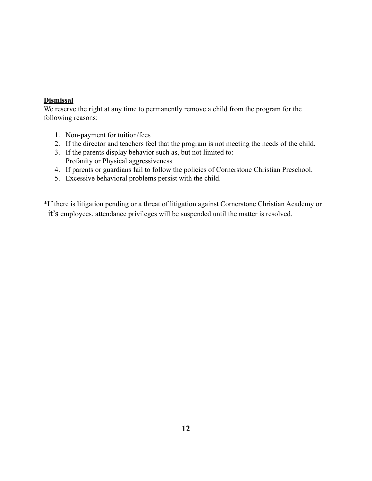## **Dismissal**

We reserve the right at any time to permanently remove a child from the program for the following reasons:

- 1. Non-payment for tuition/fees
- 2. If the director and teachers feel that the program is not meeting the needs of the child.
- 3. If the parents display behavior such as, but not limited to: Profanity or Physical aggressiveness
- 4. If parents or guardians fail to follow the policies of Cornerstone Christian Preschool.
- 5. Excessive behavioral problems persist with the child.

\*If there is litigation pending or a threat of litigation against Cornerstone Christian Academy or it's employees, attendance privileges will be suspended until the matter is resolved.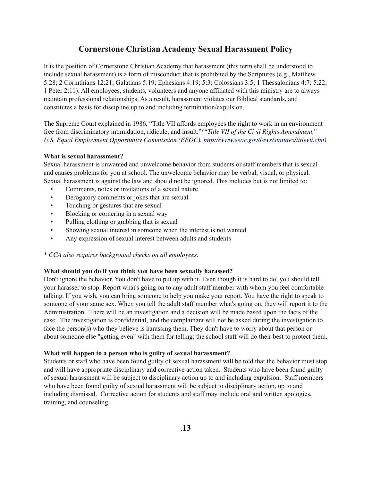## **Cornerstone Christian Academy Sexual Harassment Policy**

It is the position of Cornerstone Christian Academy that harassment (this term shall be understood to include sexual harassment) is a form of misconduct that is prohibited by the Scriptures (e.g., Matthew 5:28; 2 Corinthians 12:21; Galatians 5:19; Ephesians 4:19; 5:3; Colossians 3:5; 1 Thessalonians 4:7; 5:22; 1 Peter 2:11). All employees, students, volunteers and anyone affiliated with this ministry are to always maintain professional relationships. As a result, harassment violates our Biblical standards, and constitutes a basis for discipline up to and including termination/expulsion.

The Supreme Court explained in 1986, "Title VII affords employees the right to work in an environment free from discriminatory intimidation, ridicule, and insult."*("Title VII of the Civil Rights Amendment," U.S. Equal Employment Opportunity Commission (EEOC). [http://www.eeoc.gov/laws/statutes/titlevii.cfm\)](http://www.eeoc.gov/laws/statutes/titlevii.cfm)*

#### **What is sexual harassment?**

Sexual harassment is unwanted and unwelcome behavior from students or staff members that is sexual and causes problems for you at school. The unwelcome behavior may be verbal, visual, or physical. Sexual harassment is against the law and should not be ignored. This includes but is not limited to:

- Comments, notes or invitations of a sexual nature
- Derogatory comments or jokes that are sexual
- Touching or gestures that are sexual
- Blocking or cornering in a sexual way
- Pulling clothing or grabbing that is sexual
- Showing sexual interest in someone when the interest is not wanted
- Any expression of sexual interest between adults and students
- \* *CCA also requires background checks on all employees.*

#### **What should you do if you think you have been sexually harassed?**

Don't ignore the behavior. You don't have to put up with it. Even though it is hard to do, you should tell your harasser to stop. Report what's going on to any adult staff member with whom you feel comfortable talking. If you wish, you can bring someone to help you make your report. You have the right to speak to someone of your same sex. When you tell the adult staff member what's going on, they will report it to the Administration. There will be an investigation and a decision will be made based upon the facts of the case. The investigation is confidential, and the complainant will not be asked during the investigation to face the person(s) who they believe is harassing them. They don't have to worry about that person or about someone else "getting even" with them for telling; the school staff will do their best to protect them.

#### **What will happen to a person who is guilty of sexual harassment?**

Students or staff who have been found guilty of sexual harassment will be told that the behavior must stop and will have appropriate disciplinary and corrective action taken. Students who have been found guilty of sexual harassment will be subject to disciplinary action up to and including expulsion. Staff members who have been found guilty of sexual harassment will be subject to disciplinary action, up to and including dismissal. Corrective action for students and staff may include oral and written apologies, training, and counseling